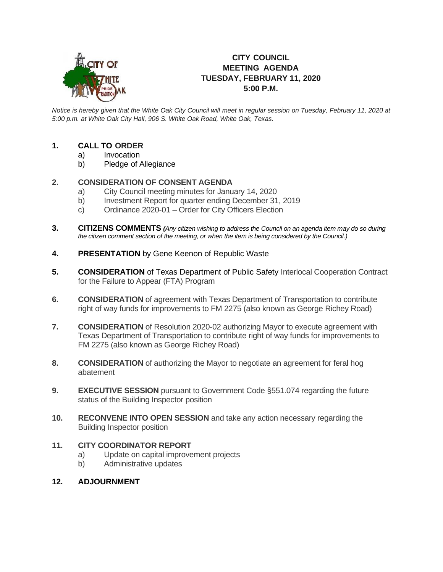

# **CITY COUNCIL MEETING AGENDA TUESDAY, FEBRUARY 11, 2020 5:00 P.M.**

*Notice is hereby given that the White Oak City Council will meet in regular session on Tuesday, February 11, 2020 at 5:00 p.m. at White Oak City Hall, 906 S. White Oak Road, White Oak, Texas.*

## **1. CALL TO ORDER**

- a) Invocation
- b) Pledge of Allegiance

## **2. CONSIDERATION OF CONSENT AGENDA**

- a) City Council meeting minutes for January 14, 2020
- b) Investment Report for quarter ending December 31, 2019
- c) Ordinance 2020-01 Order for City Officers Election
- **3. CITIZENS COMMENTS** *(Any citizen wishing to address the Council on an agenda item may do so during the citizen comment section of the meeting, or when the item is being considered by the Council.)*
- **4. PRESENTATION** by Gene Keenon of Republic Waste
- **5. CONSIDERATION** of Texas Department of Public Safety Interlocal Cooperation Contract for the Failure to Appear (FTA) Program
- **6. CONSIDERATION** of agreement with Texas Department of Transportation to contribute right of way funds for improvements to FM 2275 (also known as George Richey Road)
- **7. CONSIDERATION** of Resolution 2020-02 authorizing Mayor to execute agreement with Texas Department of Transportation to contribute right of way funds for improvements to FM 2275 (also known as George Richey Road)
- **8. CONSIDERATION** of authorizing the Mayor to negotiate an agreement for feral hog abatement
- **9. EXECUTIVE SESSION** pursuant to Government Code §551.074 regarding the future status of the Building Inspector position
- **10. RECONVENE INTO OPEN SESSION** and take any action necessary regarding the Building Inspector position

#### **11. CITY COORDINATOR REPORT**

- a) Update on capital improvement projects
- b) Administrative updates

#### **12. ADJOURNMENT**